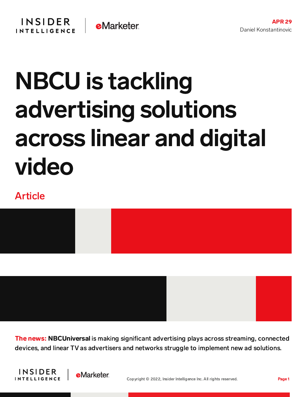## NBCU is tackling advertising solutions across linear and digital video

## Article



The news: NBCUniversal is making significant advertising plays across streaming, connected devices, and linear TV as advertisers and networks struggle to implement new ad solutions.



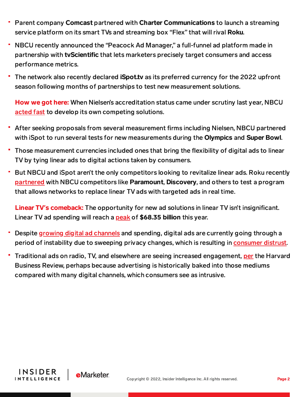- Parent company Comcast partnered with Charter Communications to launch a streaming service platform on its smart TVs and streaming box "Flex" that will rival Roku.
- NBCU recently announced the "Peacock Ad Manager," a full-funnel ad platform made in partnership with **tyScientific** that lets marketers precisely target consumers and access performance metrics.
- The network also recently declared **iSpot.tv** as its preferred currency for the 2022 upfront season following months of partnerships to test new measurement solutions.

How we got here: When Nielsen's accreditation status came under scrutiny last year, NBCU [acted](https://search1-na2.emarketer.com/?query=measurement%20independence&sortBy=bestMatch) fast to develop its own competing solutions.

- After seeking proposals from several measurement firms including Nielsen, NBCU partnered with iSpot to run several tests for new measurements during the Olympics and Super Bowl.
- Those measurement currencies included ones that bring the flexibility of digital ads to linear TV by tying linear ads to digital actions taken by consumers.
- But NBCU and iSpot aren't the only competitors looking to revitalize linear ads. Roku recently [partnered](https://content-na2.emarketer.com/roku-s-launches-program-bringing-targeted-ads-linear-tv) with NBCU competitors like Paramount, Discovery, and others to test a program that allows networks to replace linear TV ads with targeted ads in real time.

Linear TV**'**s comeback: The opportunity for new ad solutions in linear TV isn't insignificant. Linear TV ad spending will reach a **[peak](https://content-na2.emarketer.com/has-tv-ad-spending-hit-its-peak-us)** of \$68.35 billion this year.

- Despite [growing](https://content-na2.emarketer.com/digital-ad-revenues-increased-35-2021) digital ad channels and spending, digital ads are currently going through a period of instability due to sweeping privacy changes, which is resulting in [consumer](https://content-na2.emarketer.com/nearly-half-of-us-consumers-have-been-served-incorrect-ads-survey-finds) distrust.
- Traditional ads on radio, TV, and elsewhere are seeing increased engagement, [per](https://hbr.org/2022/04/why-marketers-are-returning-to-traditional-advertising) the Harvard Business Review, perhaps because advertising is historically baked into those mediums compared with many digital channels, which consumers see as intrusive.